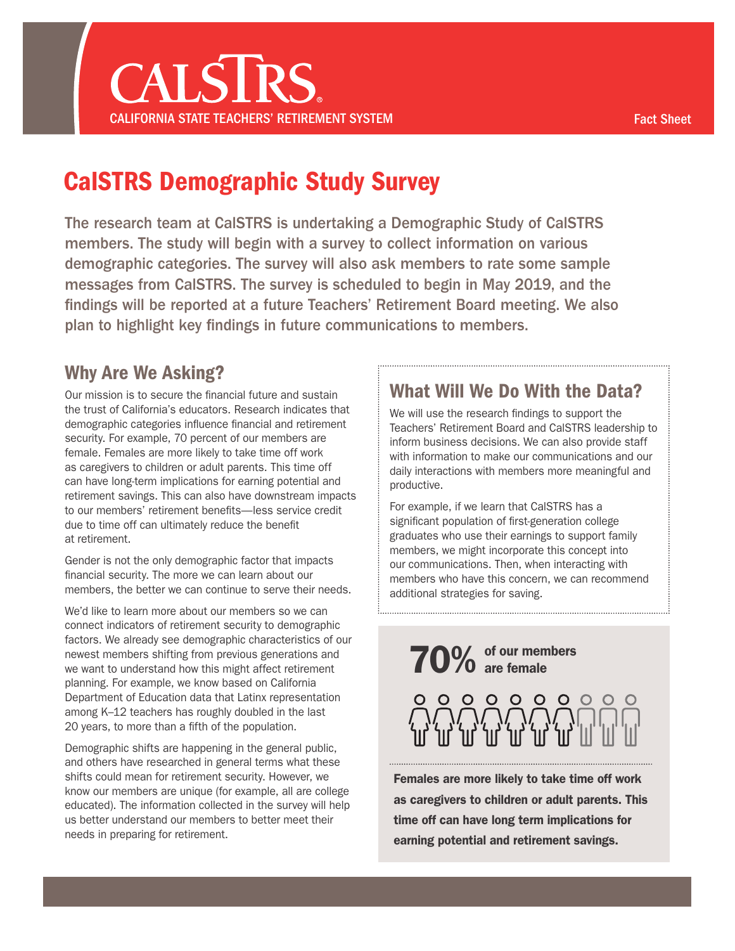# CalSTRS Demographic Study Survey

The research team at CalSTRS is undertaking a Demographic Study of CalSTRS members. The study will begin with a survey to collect information on various demographic categories. The survey will also ask members to rate some sample messages from CalSTRS. The survey is scheduled to begin in May 2019, and the findings will be reported at a future Teachers' Retirement Board meeting. We also plan to highlight key findings in future communications to members.

## Why Are We Asking?

Our mission is to secure the financial future and sustain the trust of California's educators. Research indicates that demographic categories influence financial and retirement security. For example, 70 percent of our members are female. Females are more likely to take time off work as caregivers to children or adult parents. This time off can have long-term implications for earning potential and retirement savings. This can also have downstream impacts to our members' retirement benefits—less service credit due to time off can ultimately reduce the benefit at retirement.

Gender is not the only demographic factor that impacts financial security. The more we can learn about our members, the better we can continue to serve their needs.

We'd like to learn more about our members so we can connect indicators of retirement security to demographic factors. We already see demographic characteristics of our newest members shifting from previous generations and we want to understand how this might affect retirement planning. For example, we know based on California Department of Education data that Latinx representation among K–12 teachers has roughly doubled in the last 20 years, to more than a fifth of the population.

Demographic shifts are happening in the general public, and others have researched in general terms what these shifts could mean for retirement security. However, we know our members are unique (for example, all are college educated). The information collected in the survey will help us better understand our members to better meet their needs in preparing for retirement.

## What Will We Do With the Data?

We will use the research findings to support the Teachers' Retirement Board and CalSTRS leadership to inform business decisions. We can also provide staff with information to make our communications and our daily interactions with members more meaningful and productive.

For example, if we learn that CalSTRS has a significant population of first-generation college graduates who use their earnings to support family members, we might incorporate this concept into our communications. Then, when interacting with members who have this concern, we can recommend additional strategies for saving.

70% of our members



Females are more likely to take time off work as caregivers to children or adult parents. This time off can have long term implications for earning potential and retirement savings.